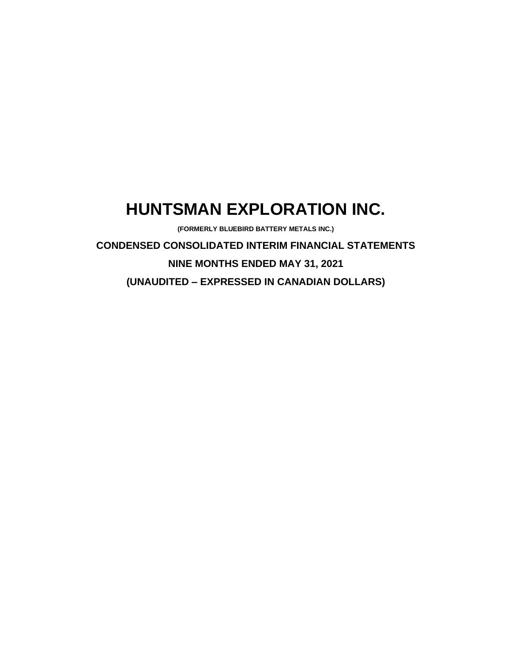# **HUNTSMAN EXPLORATION INC.**

**(FORMERLY BLUEBIRD BATTERY METALS INC.)**

**CONDENSED CONSOLIDATED INTERIM FINANCIAL STATEMENTS NINE MONTHS ENDED MAY 31, 2021 (UNAUDITED – EXPRESSED IN CANADIAN DOLLARS)**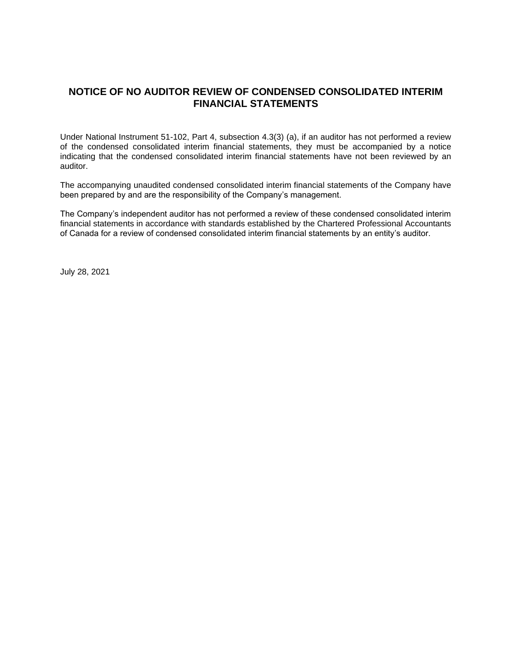# **NOTICE OF NO AUDITOR REVIEW OF CONDENSED CONSOLIDATED INTERIM FINANCIAL STATEMENTS**

Under National Instrument 51-102, Part 4, subsection 4.3(3) (a), if an auditor has not performed a review of the condensed consolidated interim financial statements, they must be accompanied by a notice indicating that the condensed consolidated interim financial statements have not been reviewed by an auditor.

The accompanying unaudited condensed consolidated interim financial statements of the Company have been prepared by and are the responsibility of the Company's management.

The Company's independent auditor has not performed a review of these condensed consolidated interim financial statements in accordance with standards established by the Chartered Professional Accountants of Canada for a review of condensed consolidated interim financial statements by an entity's auditor.

July 28, 2021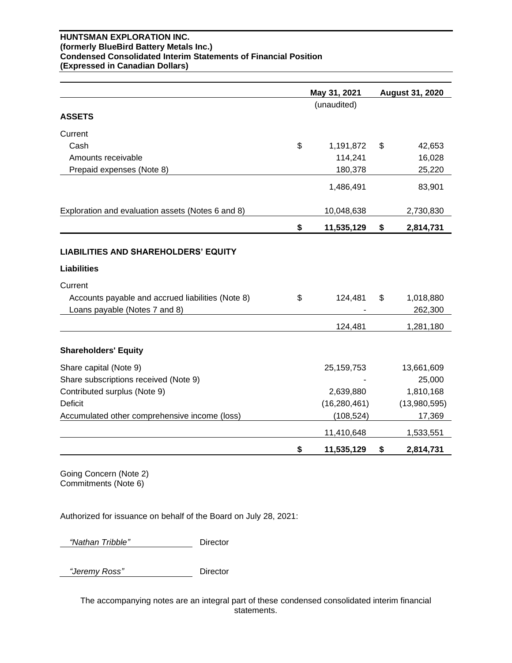#### **HUNTSMAN EXPLORATION INC. (formerly BlueBird Battery Metals Inc.) Condensed Consolidated Interim Statements of Financial Position (Expressed in Canadian Dollars)**

|                                                                                    | May 31, 2021     | <b>August 31, 2020</b>     |
|------------------------------------------------------------------------------------|------------------|----------------------------|
|                                                                                    | (unaudited)      |                            |
| <b>ASSETS</b>                                                                      |                  |                            |
| Current                                                                            |                  |                            |
| Cash                                                                               | \$<br>1,191,872  | \$<br>42,653               |
| Amounts receivable                                                                 | 114,241          | 16,028                     |
| Prepaid expenses (Note 8)                                                          | 180,378          | 25,220                     |
|                                                                                    | 1,486,491        | 83,901                     |
| Exploration and evaluation assets (Notes 6 and 8)                                  | 10,048,638       | 2,730,830                  |
|                                                                                    | \$<br>11,535,129 | \$<br>2,814,731            |
| <b>LIABILITIES AND SHAREHOLDERS' EQUITY</b>                                        |                  |                            |
| <b>Liabilities</b>                                                                 |                  |                            |
| Current                                                                            |                  |                            |
| Accounts payable and accrued liabilities (Note 8)<br>Loans payable (Notes 7 and 8) | \$<br>124,481    | \$<br>1,018,880<br>262,300 |
|                                                                                    | 124,481          | 1,281,180                  |
| <b>Shareholders' Equity</b>                                                        |                  |                            |
| Share capital (Note 9)                                                             | 25, 159, 753     | 13,661,609                 |
| Share subscriptions received (Note 9)                                              |                  | 25,000                     |
| Contributed surplus (Note 9)                                                       | 2,639,880        | 1,810,168                  |
| <b>Deficit</b>                                                                     | (16, 280, 461)   | (13,980,595)               |
| Accumulated other comprehensive income (loss)                                      | (108, 524)       | 17,369                     |
|                                                                                    | 11,410,648       | 1,533,551                  |
|                                                                                    | \$<br>11,535,129 | \$<br>2,814,731            |

Going Concern (Note 2) Commitments (Note 6)

Authorized for issuance on behalf of the Board on July 28, 2021:

 *"Nathan Tribble"* Director

 *"Jeremy Ross"* Director

The accompanying notes are an integral part of these condensed consolidated interim financial statements.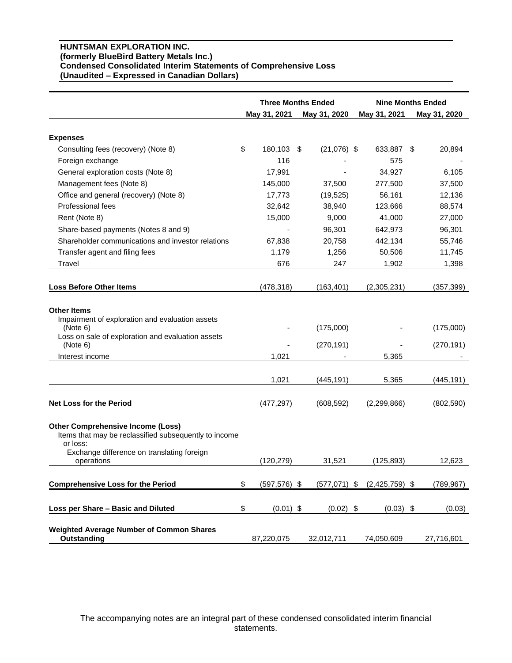## **HUNTSMAN EXPLORATION INC. (formerly BlueBird Battery Metals Inc.) Condensed Consolidated Interim Statements of Comprehensive Loss (Unaudited – Expressed in Canadian Dollars)**

|                                                                                                                                                                       | <b>Three Months Ended</b> |     | <b>Nine Months Ended</b> |                  |                         |
|-----------------------------------------------------------------------------------------------------------------------------------------------------------------------|---------------------------|-----|--------------------------|------------------|-------------------------|
|                                                                                                                                                                       | May 31, 2021              |     | May 31, 2020             | May 31, 2021     | May 31, 2020            |
| <b>Expenses</b>                                                                                                                                                       |                           |     |                          |                  |                         |
| Consulting fees (recovery) (Note 8)                                                                                                                                   | \$<br>180,103             | -\$ | $(21,076)$ \$            | 633,887 \$       | 20,894                  |
| Foreign exchange                                                                                                                                                      | 116                       |     |                          | 575              |                         |
| General exploration costs (Note 8)                                                                                                                                    | 17,991                    |     |                          | 34,927           | 6,105                   |
| Management fees (Note 8)                                                                                                                                              | 145,000                   |     | 37,500                   | 277,500          | 37,500                  |
| Office and general (recovery) (Note 8)                                                                                                                                | 17,773                    |     | (19, 525)                | 56,161           | 12,136                  |
| Professional fees                                                                                                                                                     | 32,642                    |     | 38,940                   | 123,666          | 88,574                  |
| Rent (Note 8)                                                                                                                                                         | 15,000                    |     | 9,000                    | 41,000           | 27,000                  |
| Share-based payments (Notes 8 and 9)                                                                                                                                  |                           |     | 96,301                   | 642,973          | 96,301                  |
| Shareholder communications and investor relations                                                                                                                     | 67,838                    |     | 20,758                   | 442,134          | 55,746                  |
| Transfer agent and filing fees                                                                                                                                        | 1,179                     |     | 1,256                    | 50,506           | 11,745                  |
| Travel                                                                                                                                                                | 676                       |     | 247                      | 1,902            | 1,398                   |
|                                                                                                                                                                       |                           |     |                          |                  |                         |
| <b>Loss Before Other Items</b>                                                                                                                                        | (478, 318)                |     | (163, 401)               | (2,305,231)      | (357, 399)              |
| <b>Other Items</b><br>Impairment of exploration and evaluation assets<br>(Note 6)<br>Loss on sale of exploration and evaluation assets<br>(Note 6)<br>Interest income | 1,021                     |     | (175,000)<br>(270, 191)  | 5,365            | (175,000)<br>(270, 191) |
|                                                                                                                                                                       | 1,021                     |     | (445, 191)               | 5,365            | (445, 191)              |
| <b>Net Loss for the Period</b>                                                                                                                                        | (477, 297)                |     | (608, 592)               | (2, 299, 866)    | (802, 590)              |
| <b>Other Comprehensive Income (Loss)</b><br>Items that may be reclassified subsequently to income<br>or loss:                                                         |                           |     |                          |                  |                         |
| Exchange difference on translating foreign<br>operations                                                                                                              | (120, 279)                |     | 31,521                   | (125, 893)       | 12,623                  |
| <b>Comprehensive Loss for the Period</b>                                                                                                                              | \$<br>$(597, 576)$ \$     |     | $(577, 071)$ \$          | $(2,425,759)$ \$ | (789, 967)              |
| Loss per Share - Basic and Diluted                                                                                                                                    | \$<br>$(0.01)$ \$         |     | $(0.02)$ \$              | $(0.03)$ \$      | (0.03)                  |
| <b>Weighted Average Number of Common Shares</b><br>Outstanding                                                                                                        | 87,220,075                |     | 32,012,711               | 74,050,609       | 27,716,601              |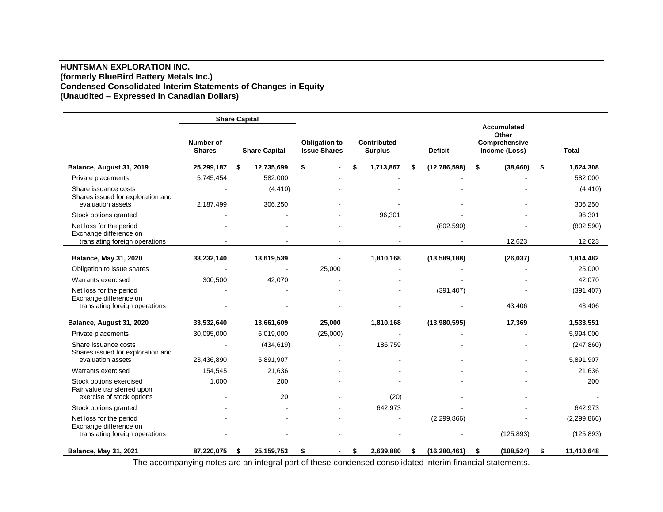## **HUNTSMAN EXPLORATION INC. (formerly BlueBird Battery Metals Inc.) Condensed Consolidated Interim Statements of Changes in Equity (Unaudited – Expressed in Canadian Dollars)**

|                                                                                |                                   | <b>Share Capital</b> |                      |                                             |    |                                      |    |                                                                                 |    |              |                     |
|--------------------------------------------------------------------------------|-----------------------------------|----------------------|----------------------|---------------------------------------------|----|--------------------------------------|----|---------------------------------------------------------------------------------|----|--------------|---------------------|
|                                                                                | <b>Number of</b><br><b>Shares</b> |                      | <b>Share Capital</b> | <b>Obligation to</b><br><b>Issue Shares</b> |    | <b>Contributed</b><br><b>Surplus</b> |    | <b>Accumulated</b><br>Other<br>Comprehensive<br><b>Deficit</b><br>Income (Loss) |    | <b>Total</b> |                     |
| Balance, August 31, 2019                                                       | 25,299,187                        | \$                   | 12,735,699           | \$                                          | \$ | 1,713,867                            | S  | (12,786,598)                                                                    | \$ | (38,660)     | \$<br>1,624,308     |
| Private placements                                                             | 5,745,454                         |                      | 582,000              |                                             |    |                                      |    |                                                                                 |    |              | 582,000             |
| Share issuance costs<br>Shares issued for exploration and<br>evaluation assets | 2,187,499                         |                      | (4, 410)<br>306,250  |                                             |    |                                      |    |                                                                                 |    |              | (4, 410)<br>306,250 |
| Stock options granted                                                          |                                   |                      |                      |                                             |    | 96,301                               |    |                                                                                 |    |              | 96,301              |
| Net loss for the period<br>Exchange difference on                              |                                   |                      |                      |                                             |    |                                      |    | (802, 590)                                                                      |    |              | (802, 590)          |
| translating foreign operations                                                 |                                   |                      |                      |                                             |    |                                      |    |                                                                                 |    | 12,623       | 12,623              |
| <b>Balance, May 31, 2020</b>                                                   | 33,232,140                        |                      | 13,619,539           |                                             |    | 1,810,168                            |    | (13,589,188)                                                                    |    | (26, 037)    | 1,814,482           |
| Obligation to issue shares                                                     |                                   |                      |                      | 25,000                                      |    |                                      |    |                                                                                 |    |              | 25,000              |
| Warrants exercised                                                             | 300,500                           |                      | 42,070               |                                             |    |                                      |    |                                                                                 |    |              | 42,070              |
| Net loss for the period<br>Exchange difference on                              |                                   |                      |                      |                                             |    |                                      |    | (391, 407)                                                                      |    |              | (391, 407)          |
| translating foreign operations                                                 |                                   |                      |                      |                                             |    |                                      |    |                                                                                 |    | 43,406       | 43,406              |
| Balance, August 31, 2020                                                       | 33,532,640                        |                      | 13,661,609           | 25,000                                      |    | 1,810,168                            |    | (13,980,595)                                                                    |    | 17,369       | 1,533,551           |
| Private placements                                                             | 30,095,000                        |                      | 6,019,000            | (25,000)                                    |    |                                      |    |                                                                                 |    |              | 5,994,000           |
| Share issuance costs<br>Shares issued for exploration and                      |                                   |                      | (434, 619)           |                                             |    | 186,759                              |    |                                                                                 |    |              | (247, 860)          |
| evaluation assets                                                              | 23,436,890                        |                      | 5,891,907            |                                             |    |                                      |    |                                                                                 |    |              | 5,891,907           |
| Warrants exercised                                                             | 154,545                           |                      | 21,636               |                                             |    |                                      |    |                                                                                 |    |              | 21,636              |
| Stock options exercised<br>Fair value transferred upon                         | 1,000                             |                      | 200                  |                                             |    |                                      |    |                                                                                 |    |              | 200                 |
| exercise of stock options                                                      |                                   |                      | 20                   |                                             |    | (20)                                 |    |                                                                                 |    |              |                     |
| Stock options granted                                                          |                                   |                      |                      |                                             |    | 642,973                              |    |                                                                                 |    |              | 642,973             |
| Net loss for the period<br>Exchange difference on                              |                                   |                      |                      |                                             |    |                                      |    | (2, 299, 866)                                                                   |    |              | (2, 299, 866)       |
| translating foreign operations                                                 |                                   |                      |                      |                                             |    |                                      |    |                                                                                 |    | (125, 893)   | (125, 893)          |
| <b>Balance, May 31, 2021</b>                                                   | 87,220,075                        | \$                   | 25, 159, 753         | \$                                          | S. | 2,639,880                            | \$ | (16, 280, 461)                                                                  | \$ | (108, 524)   | \$<br>11,410,648    |

The accompanying notes are an integral part of these condensed consolidated interim financial statements.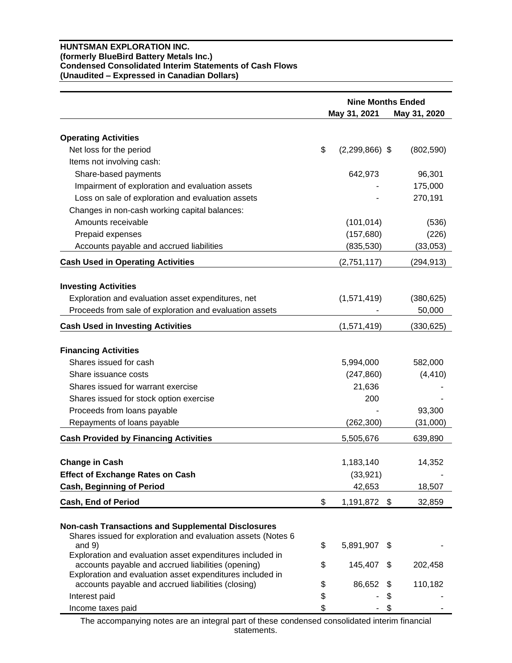## **HUNTSMAN EXPLORATION INC. (formerly BlueBird Battery Metals Inc.) Condensed Consolidated Interim Statements of Cash Flows (Unaudited – Expressed in Canadian Dollars)**

|                                                                                                                 | <b>Nine Months Ended</b><br>May 31, 2021<br>May 31, 2020 |      |            |  |
|-----------------------------------------------------------------------------------------------------------------|----------------------------------------------------------|------|------------|--|
|                                                                                                                 |                                                          |      |            |  |
| <b>Operating Activities</b>                                                                                     |                                                          |      |            |  |
| Net loss for the period                                                                                         | \$<br>$(2,299,866)$ \$                                   |      | (802, 590) |  |
| Items not involving cash:                                                                                       |                                                          |      |            |  |
| Share-based payments                                                                                            | 642,973                                                  |      | 96,301     |  |
| Impairment of exploration and evaluation assets                                                                 |                                                          |      | 175,000    |  |
| Loss on sale of exploration and evaluation assets                                                               |                                                          |      | 270,191    |  |
| Changes in non-cash working capital balances:                                                                   |                                                          |      |            |  |
| Amounts receivable                                                                                              | (101, 014)                                               |      | (536)      |  |
| Prepaid expenses                                                                                                | (157, 680)                                               |      | (226)      |  |
| Accounts payable and accrued liabilities                                                                        | (835, 530)                                               |      | (33,053)   |  |
| <b>Cash Used in Operating Activities</b>                                                                        | (2,751,117)                                              |      | (294, 913) |  |
| <b>Investing Activities</b>                                                                                     |                                                          |      |            |  |
| Exploration and evaluation asset expenditures, net                                                              | (1,571,419)                                              |      | (380, 625) |  |
| Proceeds from sale of exploration and evaluation assets                                                         |                                                          |      | 50,000     |  |
| <b>Cash Used in Investing Activities</b>                                                                        | (1,571,419)                                              |      | (330, 625) |  |
|                                                                                                                 |                                                          |      |            |  |
| <b>Financing Activities</b>                                                                                     |                                                          |      |            |  |
| Shares issued for cash                                                                                          | 5,994,000                                                |      | 582,000    |  |
| Share issuance costs                                                                                            | (247, 860)                                               |      | (4, 410)   |  |
| Shares issued for warrant exercise                                                                              | 21,636                                                   |      |            |  |
| Shares issued for stock option exercise                                                                         | 200                                                      |      |            |  |
| Proceeds from loans payable                                                                                     |                                                          |      | 93,300     |  |
| Repayments of loans payable                                                                                     | (262,300)                                                |      | (31,000)   |  |
| <b>Cash Provided by Financing Activities</b>                                                                    | 5,505,676                                                |      | 639,890    |  |
| <b>Change in Cash</b>                                                                                           | 1,183,140                                                |      | 14,352     |  |
| <b>Effect of Exchange Rates on Cash</b>                                                                         | (33, 921)                                                |      |            |  |
| <b>Cash, Beginning of Period</b>                                                                                | 42,653                                                   |      | 18,507     |  |
| Cash, End of Period                                                                                             | \$<br>1,191,872                                          | - \$ | 32,859     |  |
|                                                                                                                 |                                                          |      |            |  |
| <b>Non-cash Transactions and Supplemental Disclosures</b>                                                       |                                                          |      |            |  |
| Shares issued for exploration and evaluation assets (Notes 6                                                    |                                                          |      |            |  |
| and $9)$                                                                                                        | \$<br>5,891,907                                          | \$   |            |  |
| Exploration and evaluation asset expenditures included in                                                       |                                                          |      |            |  |
| accounts payable and accrued liabilities (opening)                                                              | \$<br>145,407                                            | S    | 202,458    |  |
| Exploration and evaluation asset expenditures included in<br>accounts payable and accrued liabilities (closing) | \$<br>86,652                                             | S    | 110,182    |  |
| Interest paid                                                                                                   | \$                                                       | \$   |            |  |
| Income taxes paid                                                                                               | \$                                                       | \$   |            |  |

The accompanying notes are an integral part of these condensed consolidated interim financial statements.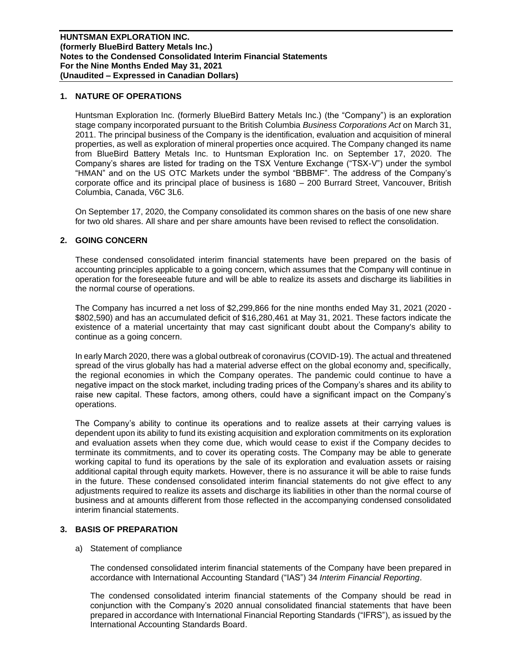## **1. NATURE OF OPERATIONS**

Huntsman Exploration Inc. (formerly BlueBird Battery Metals Inc.) (the "Company") is an exploration stage company incorporated pursuant to the British Columbia *Business Corporations Act* on March 31, 2011. The principal business of the Company is the identification, evaluation and acquisition of mineral properties, as well as exploration of mineral properties once acquired. The Company changed its name from BlueBird Battery Metals Inc. to Huntsman Exploration Inc. on September 17, 2020. The Company's shares are listed for trading on the TSX Venture Exchange ("TSX-V") under the symbol "HMAN" and on the US OTC Markets under the symbol "BBBMF". The address of the Company's corporate office and its principal place of business is 1680 – 200 Burrard Street, Vancouver, British Columbia, Canada, V6C 3L6.

On September 17, 2020, the Company consolidated its common shares on the basis of one new share for two old shares. All share and per share amounts have been revised to reflect the consolidation.

#### **2. GOING CONCERN**

These condensed consolidated interim financial statements have been prepared on the basis of accounting principles applicable to a going concern, which assumes that the Company will continue in operation for the foreseeable future and will be able to realize its assets and discharge its liabilities in the normal course of operations.

The Company has incurred a net loss of \$2,299,866 for the nine months ended May 31, 2021 (2020 - \$802,590) and has an accumulated deficit of \$16,280,461 at May 31, 2021. These factors indicate the existence of a material uncertainty that may cast significant doubt about the Company's ability to continue as a going concern.

In early March 2020, there was a global outbreak of coronavirus (COVID-19). The actual and threatened spread of the virus globally has had a material adverse effect on the global economy and, specifically, the regional economies in which the Company operates. The pandemic could continue to have a negative impact on the stock market, including trading prices of the Company's shares and its ability to raise new capital. These factors, among others, could have a significant impact on the Company's operations.

The Company's ability to continue its operations and to realize assets at their carrying values is dependent upon its ability to fund its existing acquisition and exploration commitments on its exploration and evaluation assets when they come due, which would cease to exist if the Company decides to terminate its commitments, and to cover its operating costs. The Company may be able to generate working capital to fund its operations by the sale of its exploration and evaluation assets or raising additional capital through equity markets. However, there is no assurance it will be able to raise funds in the future. These condensed consolidated interim financial statements do not give effect to any adjustments required to realize its assets and discharge its liabilities in other than the normal course of business and at amounts different from those reflected in the accompanying condensed consolidated interim financial statements.

## **3. BASIS OF PREPARATION**

#### a) Statement of compliance

The condensed consolidated interim financial statements of the Company have been prepared in accordance with International Accounting Standard ("IAS") 34 *Interim Financial Reporting*.

The condensed consolidated interim financial statements of the Company should be read in conjunction with the Company's 2020 annual consolidated financial statements that have been prepared in accordance with International Financial Reporting Standards ("IFRS"), as issued by the International Accounting Standards Board.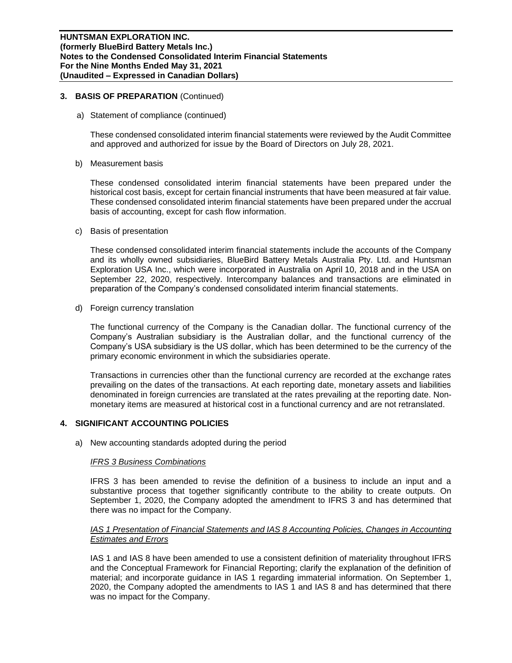#### **3. BASIS OF PREPARATION** (Continued)

a) Statement of compliance (continued)

These condensed consolidated interim financial statements were reviewed by the Audit Committee and approved and authorized for issue by the Board of Directors on July 28, 2021.

b) Measurement basis

These condensed consolidated interim financial statements have been prepared under the historical cost basis, except for certain financial instruments that have been measured at fair value. These condensed consolidated interim financial statements have been prepared under the accrual basis of accounting, except for cash flow information.

c) Basis of presentation

These condensed consolidated interim financial statements include the accounts of the Company and its wholly owned subsidiaries, BlueBird Battery Metals Australia Pty. Ltd. and Huntsman Exploration USA Inc., which were incorporated in Australia on April 10, 2018 and in the USA on September 22, 2020, respectively. Intercompany balances and transactions are eliminated in preparation of the Company's condensed consolidated interim financial statements.

d) Foreign currency translation

The functional currency of the Company is the Canadian dollar. The functional currency of the Company's Australian subsidiary is the Australian dollar, and the functional currency of the Company's USA subsidiary is the US dollar, which has been determined to be the currency of the primary economic environment in which the subsidiaries operate.

Transactions in currencies other than the functional currency are recorded at the exchange rates prevailing on the dates of the transactions. At each reporting date, monetary assets and liabilities denominated in foreign currencies are translated at the rates prevailing at the reporting date. Nonmonetary items are measured at historical cost in a functional currency and are not retranslated.

## **4. SIGNIFICANT ACCOUNTING POLICIES**

a) New accounting standards adopted during the period

#### *IFRS 3 Business Combinations*

IFRS 3 has been amended to revise the definition of a business to include an input and a substantive process that together significantly contribute to the ability to create outputs. On September 1, 2020, the Company adopted the amendment to IFRS 3 and has determined that there was no impact for the Company.

## *IAS 1 Presentation of Financial Statements and IAS 8 Accounting Policies, Changes in Accounting Estimates and Errors*

IAS 1 and IAS 8 have been amended to use a consistent definition of materiality throughout IFRS and the Conceptual Framework for Financial Reporting; clarify the explanation of the definition of material; and incorporate guidance in IAS 1 regarding immaterial information. On September 1, 2020, the Company adopted the amendments to IAS 1 and IAS 8 and has determined that there was no impact for the Company.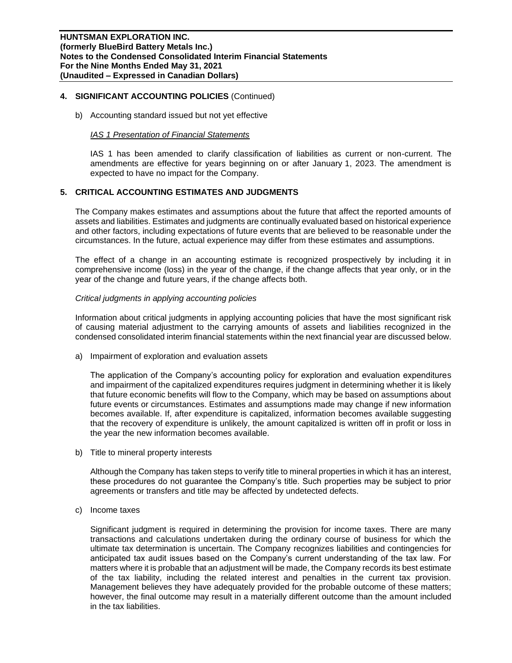## **4. SIGNIFICANT ACCOUNTING POLICIES** (Continued)

b) Accounting standard issued but not yet effective

#### *IAS 1 Presentation of Financial Statements*

IAS 1 has been amended to clarify classification of liabilities as current or non-current. The amendments are effective for years beginning on or after January 1, 2023. The amendment is expected to have no impact for the Company.

## **5. CRITICAL ACCOUNTING ESTIMATES AND JUDGMENTS**

The Company makes estimates and assumptions about the future that affect the reported amounts of assets and liabilities. Estimates and judgments are continually evaluated based on historical experience and other factors, including expectations of future events that are believed to be reasonable under the circumstances. In the future, actual experience may differ from these estimates and assumptions.

The effect of a change in an accounting estimate is recognized prospectively by including it in comprehensive income (loss) in the year of the change, if the change affects that year only, or in the year of the change and future years, if the change affects both.

#### *Critical judgments in applying accounting policies*

Information about critical judgments in applying accounting policies that have the most significant risk of causing material adjustment to the carrying amounts of assets and liabilities recognized in the condensed consolidated interim financial statements within the next financial year are discussed below.

a) Impairment of exploration and evaluation assets

The application of the Company's accounting policy for exploration and evaluation expenditures and impairment of the capitalized expenditures requires judgment in determining whether it is likely that future economic benefits will flow to the Company, which may be based on assumptions about future events or circumstances. Estimates and assumptions made may change if new information becomes available. If, after expenditure is capitalized, information becomes available suggesting that the recovery of expenditure is unlikely, the amount capitalized is written off in profit or loss in the year the new information becomes available.

b) Title to mineral property interests

Although the Company has taken steps to verify title to mineral properties in which it has an interest, these procedures do not guarantee the Company's title. Such properties may be subject to prior agreements or transfers and title may be affected by undetected defects.

c) Income taxes

Significant judgment is required in determining the provision for income taxes. There are many transactions and calculations undertaken during the ordinary course of business for which the ultimate tax determination is uncertain. The Company recognizes liabilities and contingencies for anticipated tax audit issues based on the Company's current understanding of the tax law. For matters where it is probable that an adjustment will be made, the Company records its best estimate of the tax liability, including the related interest and penalties in the current tax provision. Management believes they have adequately provided for the probable outcome of these matters; however, the final outcome may result in a materially different outcome than the amount included in the tax liabilities.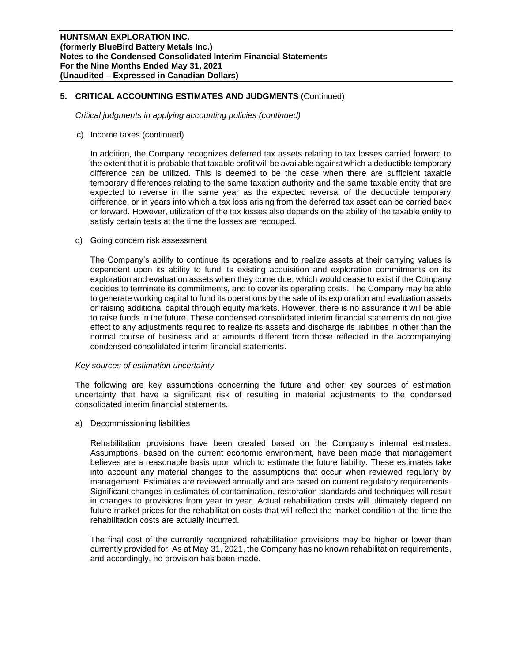## **5. CRITICAL ACCOUNTING ESTIMATES AND JUDGMENTS** (Continued)

*Critical judgments in applying accounting policies (continued)*

c) Income taxes (continued)

In addition, the Company recognizes deferred tax assets relating to tax losses carried forward to the extent that it is probable that taxable profit will be available against which a deductible temporary difference can be utilized. This is deemed to be the case when there are sufficient taxable temporary differences relating to the same taxation authority and the same taxable entity that are expected to reverse in the same year as the expected reversal of the deductible temporary difference, or in years into which a tax loss arising from the deferred tax asset can be carried back or forward. However, utilization of the tax losses also depends on the ability of the taxable entity to satisfy certain tests at the time the losses are recouped.

d) Going concern risk assessment

The Company's ability to continue its operations and to realize assets at their carrying values is dependent upon its ability to fund its existing acquisition and exploration commitments on its exploration and evaluation assets when they come due, which would cease to exist if the Company decides to terminate its commitments, and to cover its operating costs. The Company may be able to generate working capital to fund its operations by the sale of its exploration and evaluation assets or raising additional capital through equity markets. However, there is no assurance it will be able to raise funds in the future. These condensed consolidated interim financial statements do not give effect to any adjustments required to realize its assets and discharge its liabilities in other than the normal course of business and at amounts different from those reflected in the accompanying condensed consolidated interim financial statements.

#### *Key sources of estimation uncertainty*

The following are key assumptions concerning the future and other key sources of estimation uncertainty that have a significant risk of resulting in material adjustments to the condensed consolidated interim financial statements.

a) Decommissioning liabilities

Rehabilitation provisions have been created based on the Company's internal estimates. Assumptions, based on the current economic environment, have been made that management believes are a reasonable basis upon which to estimate the future liability. These estimates take into account any material changes to the assumptions that occur when reviewed regularly by management. Estimates are reviewed annually and are based on current regulatory requirements. Significant changes in estimates of contamination, restoration standards and techniques will result in changes to provisions from year to year. Actual rehabilitation costs will ultimately depend on future market prices for the rehabilitation costs that will reflect the market condition at the time the rehabilitation costs are actually incurred.

The final cost of the currently recognized rehabilitation provisions may be higher or lower than currently provided for. As at May 31, 2021, the Company has no known rehabilitation requirements, and accordingly, no provision has been made.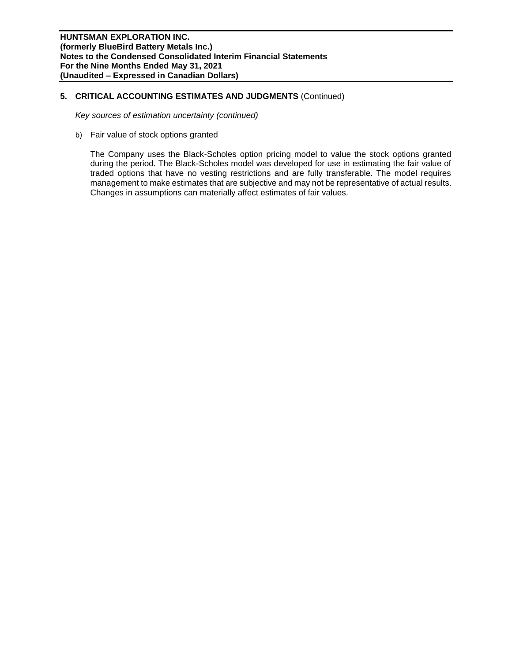## **5. CRITICAL ACCOUNTING ESTIMATES AND JUDGMENTS** (Continued)

*Key sources of estimation uncertainty (continued)*

b) Fair value of stock options granted

The Company uses the Black-Scholes option pricing model to value the stock options granted during the period. The Black-Scholes model was developed for use in estimating the fair value of traded options that have no vesting restrictions and are fully transferable. The model requires management to make estimates that are subjective and may not be representative of actual results. Changes in assumptions can materially affect estimates of fair values.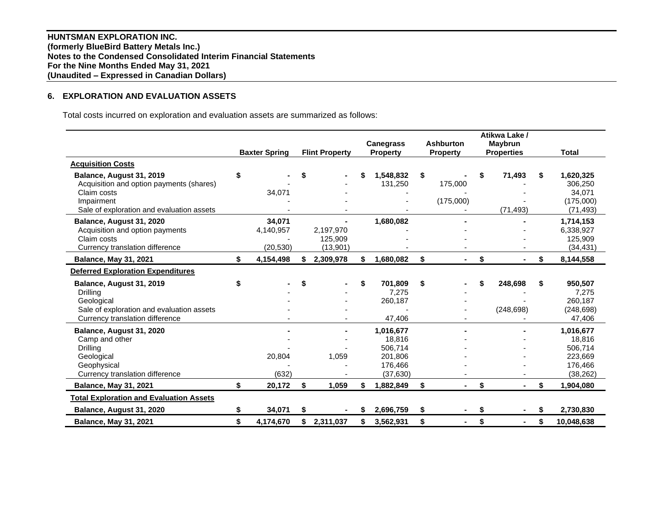**HUNTSMAN EXPLORATION INC. (formerly BlueBird Battery Metals Inc.) Notes to the Condensed Consolidated Interim Financial Statements For the Nine Months Ended May 31, 2021 (Unaudited – Expressed in Canadian Dollars)**

## **6. EXPLORATION AND EVALUATION ASSETS**

Total costs incurred on exploration and evaluation assets are summarized as follows:

|                                                |    | <b>Baxter Spring</b> | <b>Flint Property</b> |    | <b>Canegrass</b><br><b>Property</b> |    | <b>Ashburton</b><br><b>Property</b> | Atikwa Lake /<br><b>Maybrun</b><br><b>Properties</b> | <b>Total</b>     |
|------------------------------------------------|----|----------------------|-----------------------|----|-------------------------------------|----|-------------------------------------|------------------------------------------------------|------------------|
| <b>Acquisition Costs</b>                       |    |                      |                       |    |                                     |    |                                     |                                                      |                  |
| Balance, August 31, 2019                       | \$ |                      |                       |    | 1,548,832                           | \$ |                                     | 71,493                                               | \$<br>1,620,325  |
| Acquisition and option payments (shares)       |    |                      |                       |    | 131,250                             |    | 175,000                             |                                                      | 306,250          |
| Claim costs                                    |    | 34,071               |                       |    |                                     |    |                                     |                                                      | 34,071           |
| Impairment                                     |    |                      |                       |    |                                     |    | (175,000)                           |                                                      | (175,000)        |
| Sale of exploration and evaluation assets      |    |                      |                       |    |                                     |    |                                     | (71, 493)                                            | (71, 493)        |
| Balance, August 31, 2020                       |    | 34.071               |                       |    | 1,680,082                           |    |                                     |                                                      | 1,714,153        |
| Acquisition and option payments                |    | 4,140,957            | 2,197,970             |    |                                     |    |                                     |                                                      | 6,338,927        |
| Claim costs                                    |    |                      | 125,909               |    |                                     |    |                                     |                                                      | 125,909          |
| Currency translation difference                |    | (20, 530)            | (13,901)              |    |                                     |    |                                     |                                                      | (34, 431)        |
| <b>Balance, May 31, 2021</b>                   | \$ | 4,154,498            | \$<br>2,309,978       | \$ | 1,680,082                           | \$ |                                     | \$                                                   | \$<br>8,144,558  |
| <b>Deferred Exploration Expenditures</b>       |    |                      |                       |    |                                     |    |                                     |                                                      |                  |
| Balance, August 31, 2019                       | S  |                      |                       | \$ | 701,809                             | S. |                                     | 248,698                                              | \$<br>950,507    |
| Drilling                                       |    |                      |                       |    | 7,275                               |    |                                     |                                                      | 7,275            |
| Geological                                     |    |                      |                       |    | 260,187                             |    |                                     |                                                      | 260,187          |
| Sale of exploration and evaluation assets      |    |                      |                       |    |                                     |    |                                     | (248, 698)                                           | (248, 698)       |
| Currency translation difference                |    |                      |                       |    | 47,406                              |    |                                     |                                                      | 47,406           |
| Balance, August 31, 2020                       |    |                      |                       |    | 1,016,677                           |    |                                     |                                                      | 1,016,677        |
| Camp and other                                 |    |                      |                       |    | 18,816                              |    |                                     |                                                      | 18,816           |
| Drilling                                       |    |                      |                       |    | 506,714                             |    |                                     |                                                      | 506,714          |
| Geological                                     |    | 20,804               | 1,059                 |    | 201,806                             |    |                                     |                                                      | 223,669          |
| Geophysical                                    |    |                      |                       |    | 176,466                             |    |                                     |                                                      | 176,466          |
| Currency translation difference                |    | (632)                |                       |    | (37, 630)                           |    |                                     |                                                      | (38, 262)        |
| <b>Balance, May 31, 2021</b>                   | \$ | 20,172               | \$<br>1,059           | \$ | 1,882,849                           | \$ | $\blacksquare$                      | \$                                                   | \$<br>1,904,080  |
| <b>Total Exploration and Evaluation Assets</b> |    |                      |                       |    |                                     |    |                                     |                                                      |                  |
| Balance, August 31, 2020                       | \$ | 34,071               | \$                    | S  | 2,696,759                           | \$ |                                     | \$                                                   | \$<br>2,730,830  |
| <b>Balance, May 31, 2021</b>                   | \$ | 4,174,670            | \$<br>2,311,037       | \$ | 3.562.931                           | \$ |                                     | \$                                                   | \$<br>10.048.638 |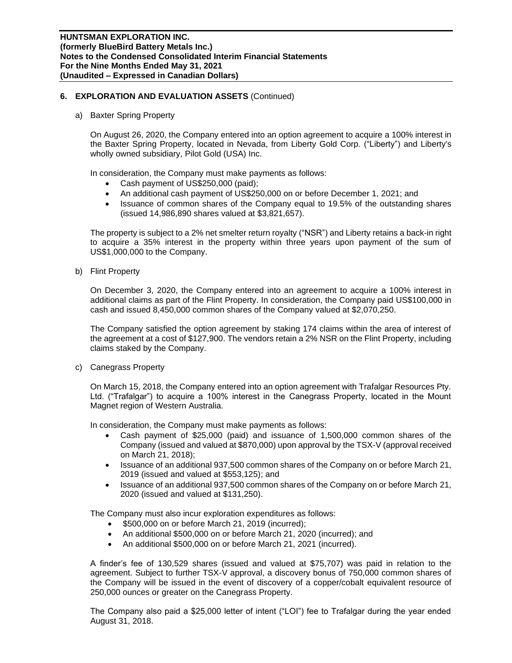## **6. EXPLORATION AND EVALUATION ASSETS** (Continued)

a) Baxter Spring Property

On August 26, 2020, the Company entered into an option agreement to acquire a 100% interest in the Baxter Spring Property, located in Nevada, from Liberty Gold Corp. ("Liberty") and Liberty's wholly owned subsidiary, Pilot Gold (USA) Inc.

In consideration, the Company must make payments as follows:

- Cash payment of US\$250,000 (paid);
- An additional cash payment of US\$250,000 on or before December 1, 2021; and
- Issuance of common shares of the Company equal to 19.5% of the outstanding shares (issued 14,986,890 shares valued at \$3,821,657).

The property is subject to a 2% net smelter return royalty ("NSR") and Liberty retains a back-in right to acquire a 35% interest in the property within three years upon payment of the sum of US\$1,000,000 to the Company.

b) Flint Property

On December 3, 2020, the Company entered into an agreement to acquire a 100% interest in additional claims as part of the Flint Property. In consideration, the Company paid US\$100,000 in cash and issued 8,450,000 common shares of the Company valued at \$2,070,250.

The Company satisfied the option agreement by staking 174 claims within the area of interest of the agreement at a cost of \$127,900. The vendors retain a 2% NSR on the Flint Property, including claims staked by the Company.

c) Canegrass Property

On March 15, 2018, the Company entered into an option agreement with Trafalgar Resources Pty. Ltd. ("Trafalgar") to acquire a 100% interest in the Canegrass Property, located in the Mount Magnet region of Western Australia.

In consideration, the Company must make payments as follows:

- Cash payment of \$25,000 (paid) and issuance of 1,500,000 common shares of the Company (issued and valued at \$870,000) upon approval by the TSX-V (approval received on March 21, 2018);
- Issuance of an additional 937,500 common shares of the Company on or before March 21, 2019 (issued and valued at \$553,125); and
- Issuance of an additional 937,500 common shares of the Company on or before March 21, 2020 (issued and valued at \$131,250).

The Company must also incur exploration expenditures as follows:

- \$500,000 on or before March 21, 2019 (incurred);
- An additional \$500,000 on or before March 21, 2020 (incurred); and
- An additional \$500,000 on or before March 21, 2021 (incurred).

A finder's fee of 130,529 shares (issued and valued at \$75,707) was paid in relation to the agreement. Subject to further TSX-V approval, a discovery bonus of 750,000 common shares of the Company will be issued in the event of discovery of a copper/cobalt equivalent resource of 250,000 ounces or greater on the Canegrass Property.

The Company also paid a \$25,000 letter of intent ("LOI") fee to Trafalgar during the year ended August 31, 2018.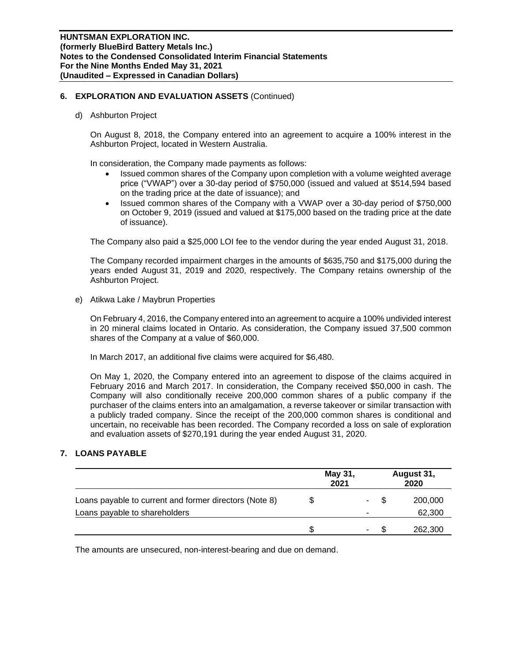## **6. EXPLORATION AND EVALUATION ASSETS** (Continued)

d) Ashburton Project

On August 8, 2018, the Company entered into an agreement to acquire a 100% interest in the Ashburton Project, located in Western Australia.

In consideration, the Company made payments as follows:

- Issued common shares of the Company upon completion with a volume weighted average price ("VWAP") over a 30-day period of \$750,000 (issued and valued at \$514,594 based on the trading price at the date of issuance); and
- Issued common shares of the Company with a VWAP over a 30-day period of \$750,000 on October 9, 2019 (issued and valued at \$175,000 based on the trading price at the date of issuance).

The Company also paid a \$25,000 LOI fee to the vendor during the year ended August 31, 2018.

The Company recorded impairment charges in the amounts of \$635,750 and \$175,000 during the years ended August 31, 2019 and 2020, respectively. The Company retains ownership of the Ashburton Project.

e) Atikwa Lake / Maybrun Properties

On February 4, 2016, the Company entered into an agreement to acquire a 100% undivided interest in 20 mineral claims located in Ontario. As consideration, the Company issued 37,500 common shares of the Company at a value of \$60,000.

In March 2017, an additional five claims were acquired for \$6,480.

On May 1, 2020, the Company entered into an agreement to dispose of the claims acquired in February 2016 and March 2017. In consideration, the Company received \$50,000 in cash. The Company will also conditionally receive 200,000 common shares of a public company if the purchaser of the claims enters into an amalgamation, a reverse takeover or similar transaction with a publicly traded company. Since the receipt of the 200,000 common shares is conditional and uncertain, no receivable has been recorded. The Company recorded a loss on sale of exploration and evaluation assets of \$270,191 during the year ended August 31, 2020.

## **7. LOANS PAYABLE**

|                                                        | May 31,<br>2021 | August 31,<br>2020 |
|--------------------------------------------------------|-----------------|--------------------|
| Loans payable to current and former directors (Note 8) | ۰               | 200,000            |
| Loans payable to shareholders                          | -               | 62,300             |
|                                                        |                 | 262,300            |

The amounts are unsecured, non-interest-bearing and due on demand.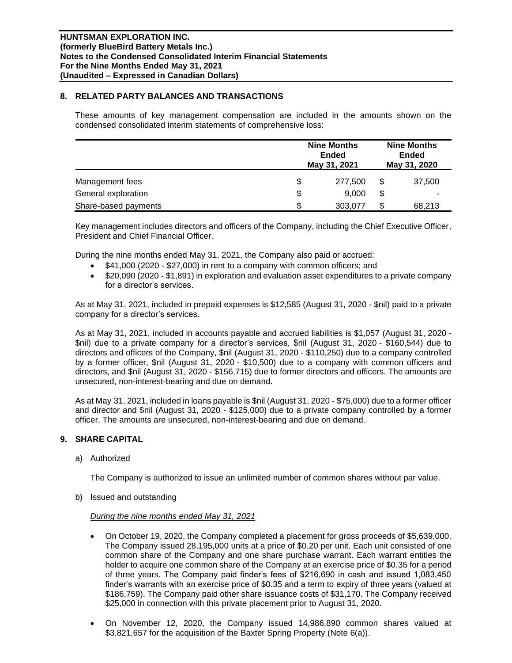## **8. RELATED PARTY BALANCES AND TRANSACTIONS**

These amounts of key management compensation are included in the amounts shown on the condensed consolidated interim statements of comprehensive loss:

|                      | <b>Nine Months</b><br><b>Ended</b><br>May 31, 2021 |    |        |
|----------------------|----------------------------------------------------|----|--------|
| Management fees      | \$<br>277,500                                      | S  | 37,500 |
| General exploration  | \$<br>9,000                                        | \$ |        |
| Share-based payments | \$<br>303,077                                      |    | 68,213 |

Key management includes directors and officers of the Company, including the Chief Executive Officer, President and Chief Financial Officer.

During the nine months ended May 31, 2021, the Company also paid or accrued:

- \$41,000 (2020 \$27,000) in rent to a company with common officers; and
- \$20,090 (2020 \$1,891) in exploration and evaluation asset expenditures to a private company for a director's services.

As at May 31, 2021, included in prepaid expenses is \$12,585 (August 31, 2020 - \$nil) paid to a private company for a director's services.

As at May 31, 2021, included in accounts payable and accrued liabilities is \$1,057 (August 31, 2020 - \$nil) due to a private company for a director's services, \$nil (August 31, 2020 - \$160,544) due to directors and officers of the Company, \$nil (August 31, 2020 - \$110,250) due to a company controlled by a former officer, \$nil (August 31, 2020 - \$10,500) due to a company with common officers and directors, and \$nil (August 31, 2020 - \$156,715) due to former directors and officers. The amounts are unsecured, non-interest-bearing and due on demand.

As at May 31, 2021, included in loans payable is \$nil (August 31, 2020 - \$75,000) due to a former officer and director and \$nil (August 31, 2020 - \$125,000) due to a private company controlled by a former officer. The amounts are unsecured, non-interest-bearing and due on demand.

## **9. SHARE CAPITAL**

a) Authorized

The Company is authorized to issue an unlimited number of common shares without par value.

b) Issued and outstanding

#### *During the nine months ended May 31, 2021*

- On October 19, 2020, the Company completed a placement for gross proceeds of \$5,639,000. The Company issued 28,195,000 units at a price of \$0.20 per unit. Each unit consisted of one common share of the Company and one share purchase warrant. Each warrant entitles the holder to acquire one common share of the Company at an exercise price of \$0.35 for a period of three years. The Company paid finder's fees of \$216,690 in cash and issued 1,083,450 finder's warrants with an exercise price of \$0.35 and a term to expiry of three years (valued at \$186,759). The Company paid other share issuance costs of \$31,170. The Company received \$25,000 in connection with this private placement prior to August 31, 2020.
- On November 12, 2020, the Company issued 14,986,890 common shares valued at \$3,821,657 for the acquisition of the Baxter Spring Property (Note 6(a)).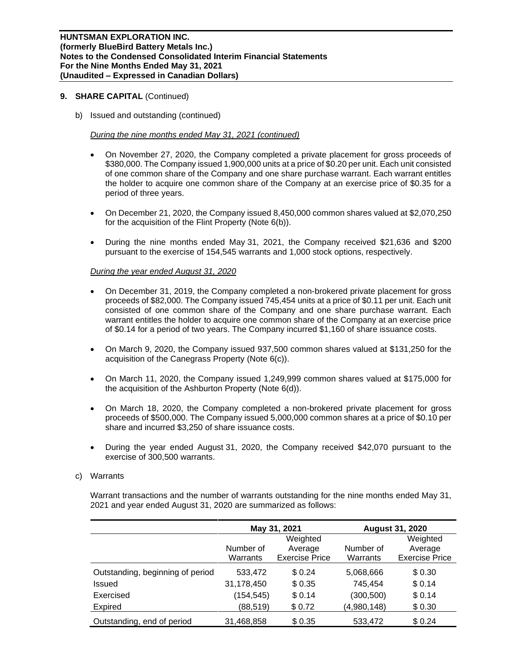b) Issued and outstanding (continued)

*During the nine months ended May 31, 2021 (continued)*

- On November 27, 2020, the Company completed a private placement for gross proceeds of \$380,000. The Company issued 1,900,000 units at a price of \$0.20 per unit. Each unit consisted of one common share of the Company and one share purchase warrant. Each warrant entitles the holder to acquire one common share of the Company at an exercise price of \$0.35 for a period of three years.
- On December 21, 2020, the Company issued 8,450,000 common shares valued at \$2,070,250 for the acquisition of the Flint Property (Note 6(b)).
- During the nine months ended May 31, 2021, the Company received \$21,636 and \$200 pursuant to the exercise of 154,545 warrants and 1,000 stock options, respectively.

## *During the year ended August 31, 2020*

- On December 31, 2019, the Company completed a non-brokered private placement for gross proceeds of \$82,000. The Company issued 745,454 units at a price of \$0.11 per unit. Each unit consisted of one common share of the Company and one share purchase warrant. Each warrant entitles the holder to acquire one common share of the Company at an exercise price of \$0.14 for a period of two years. The Company incurred \$1,160 of share issuance costs.
- On March 9, 2020, the Company issued 937,500 common shares valued at \$131,250 for the acquisition of the Canegrass Property (Note 6(c)).
- On March 11, 2020, the Company issued 1,249,999 common shares valued at \$175,000 for the acquisition of the Ashburton Property (Note 6(d)).
- On March 18, 2020, the Company completed a non-brokered private placement for gross proceeds of \$500,000. The Company issued 5,000,000 common shares at a price of \$0.10 per share and incurred \$3,250 of share issuance costs.
- During the year ended August 31, 2020, the Company received \$42,070 pursuant to the exercise of 300,500 warrants.

#### c) Warrants

Warrant transactions and the number of warrants outstanding for the nine months ended May 31, 2021 and year ended August 31, 2020 are summarized as follows:

|                                  |            | May 31, 2021          |             | <b>August 31, 2020</b> |  |  |  |
|----------------------------------|------------|-----------------------|-------------|------------------------|--|--|--|
|                                  |            | Weighted              |             | Weighted               |  |  |  |
|                                  | Number of  | Average               | Number of   | Average                |  |  |  |
|                                  | Warrants   | <b>Exercise Price</b> | Warrants    | <b>Exercise Price</b>  |  |  |  |
| Outstanding, beginning of period | 533,472    | \$0.24                | 5,068,666   | \$0.30                 |  |  |  |
| Issued                           | 31,178,450 | \$0.35                | 745,454     | \$0.14                 |  |  |  |
| Exercised                        | (154, 545) | \$0.14                | (300, 500)  | \$0.14                 |  |  |  |
| Expired                          | (88, 519)  | \$0.72                | (4,980,148) | \$0.30                 |  |  |  |
| Outstanding, end of period       | 31,468,858 | \$0.35                | 533,472     | \$0.24                 |  |  |  |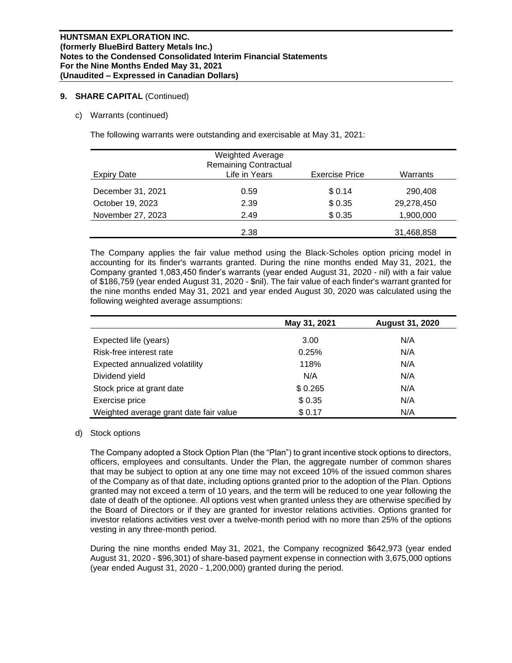## c) Warrants (continued)

The following warrants were outstanding and exercisable at May 31, 2021:

| Expiry Date       | <b>Weighted Average</b><br><b>Remaining Contractual</b><br>Life in Years | <b>Exercise Price</b> | Warrants   |
|-------------------|--------------------------------------------------------------------------|-----------------------|------------|
| December 31, 2021 | 0.59                                                                     | \$0.14                | 290,408    |
| October 19, 2023  | 2.39                                                                     | \$0.35                | 29,278,450 |
| November 27, 2023 | 2.49                                                                     | \$0.35                | 1,900,000  |
|                   | 2.38                                                                     |                       | 31,468,858 |

The Company applies the fair value method using the Black-Scholes option pricing model in accounting for its finder's warrants granted. During the nine months ended May 31, 2021, the Company granted 1,083,450 finder's warrants (year ended August 31, 2020 - nil) with a fair value of \$186,759 (year ended August 31, 2020 - \$nil). The fair value of each finder's warrant granted for the nine months ended May 31, 2021 and year ended August 30, 2020 was calculated using the following weighted average assumptions:

|                                        | May 31, 2021 | <b>August 31, 2020</b> |
|----------------------------------------|--------------|------------------------|
| Expected life (years)                  | 3.00         | N/A                    |
| Risk-free interest rate                | 0.25%        | N/A                    |
| Expected annualized volatility         | 118%         | N/A                    |
| Dividend yield                         | N/A          | N/A                    |
| Stock price at grant date              | \$0.265      | N/A                    |
| Exercise price                         | \$0.35       | N/A                    |
| Weighted average grant date fair value | \$0.17       | N/A                    |

#### d) Stock options

The Company adopted a Stock Option Plan (the "Plan") to grant incentive stock options to directors, officers, employees and consultants. Under the Plan, the aggregate number of common shares that may be subject to option at any one time may not exceed 10% of the issued common shares of the Company as of that date, including options granted prior to the adoption of the Plan. Options granted may not exceed a term of 10 years, and the term will be reduced to one year following the date of death of the optionee. All options vest when granted unless they are otherwise specified by the Board of Directors or if they are granted for investor relations activities. Options granted for investor relations activities vest over a twelve-month period with no more than 25% of the options vesting in any three-month period.

During the nine months ended May 31, 2021, the Company recognized \$642,973 (year ended August 31, 2020 - \$96,301) of share-based payment expense in connection with 3,675,000 options (year ended August 31, 2020 - 1,200,000) granted during the period.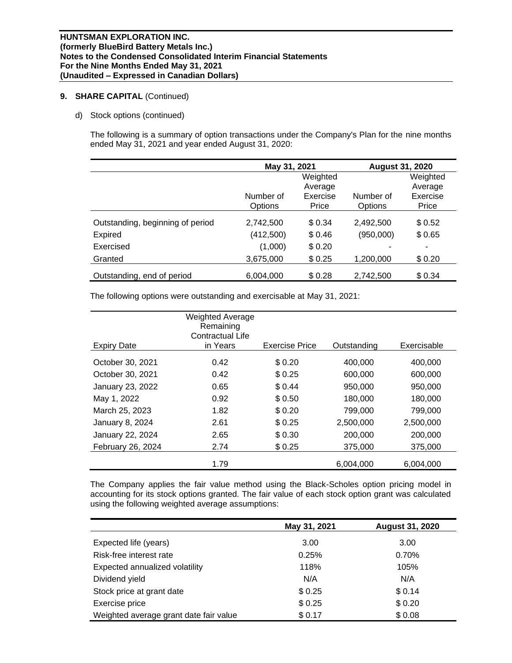d) Stock options (continued)

The following is a summary of option transactions under the Company's Plan for the nine months ended May 31, 2021 and year ended August 31, 2020:

|                                  | May 31, 2021 |          | <b>August 31, 2020</b> |                          |  |
|----------------------------------|--------------|----------|------------------------|--------------------------|--|
|                                  |              | Weighted |                        | Weighted                 |  |
|                                  |              | Average  |                        | Average                  |  |
|                                  | Number of    | Exercise | Number of              | Exercise                 |  |
|                                  | Options      | Price    | Options                | Price                    |  |
| Outstanding, beginning of period | 2,742,500    | \$0.34   | 2,492,500              | \$0.52                   |  |
| <b>Expired</b>                   | (412,500)    | \$0.46   | (950,000)              | \$0.65                   |  |
| Exercised                        | (1,000)      | \$0.20   |                        | $\overline{\phantom{a}}$ |  |
| Granted                          | 3,675,000    | \$0.25   | 1,200,000              | \$0.20                   |  |
| Outstanding, end of period       | 6,004,000    | \$0.28   | 2,742,500              | \$0.34                   |  |

The following options were outstanding and exercisable at May 31, 2021:

| <b>Expiry Date</b>     | <b>Weighted Average</b><br>Remaining<br>Contractual Life<br>in Years | <b>Exercise Price</b> | Outstanding | Exercisable |
|------------------------|----------------------------------------------------------------------|-----------------------|-------------|-------------|
| October 30, 2021       | 0.42                                                                 | \$0.20                | 400,000     | 400,000     |
| October 30, 2021       | 0.42                                                                 | \$0.25                | 600,000     | 600,000     |
| January 23, 2022       | 0.65                                                                 | \$ 0.44               | 950,000     | 950,000     |
| May 1, 2022            | 0.92                                                                 | \$0.50                | 180,000     | 180,000     |
| March 25, 2023         | 1.82                                                                 | \$0.20                | 799,000     | 799,000     |
| <b>January 8, 2024</b> | 2.61                                                                 | \$0.25                | 2,500,000   | 2,500,000   |
| January 22, 2024       | 2.65                                                                 | \$ 0.30               | 200,000     | 200,000     |
| February 26, 2024      | 2.74                                                                 | \$0.25                | 375,000     | 375,000     |
|                        | 1.79                                                                 |                       | 6,004,000   | 6,004,000   |

The Company applies the fair value method using the Black-Scholes option pricing model in accounting for its stock options granted. The fair value of each stock option grant was calculated using the following weighted average assumptions:

|                                        | May 31, 2021 | <b>August 31, 2020</b> |
|----------------------------------------|--------------|------------------------|
| Expected life (years)                  | 3.00         | 3.00                   |
| Risk-free interest rate                | 0.25%        | 0.70%                  |
| Expected annualized volatility         | 118%         | 105%                   |
| Dividend yield                         | N/A          | N/A                    |
| Stock price at grant date              | \$0.25       | \$0.14                 |
| Exercise price                         | \$0.25       | \$0.20                 |
| Weighted average grant date fair value | \$0.17       | \$0.08                 |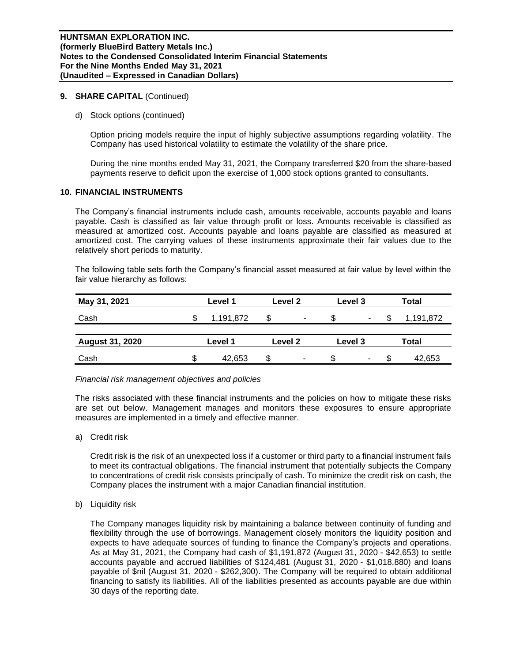d) Stock options (continued)

Option pricing models require the input of highly subjective assumptions regarding volatility. The Company has used historical volatility to estimate the volatility of the share price.

During the nine months ended May 31, 2021, the Company transferred \$20 from the share-based payments reserve to deficit upon the exercise of 1,000 stock options granted to consultants.

#### **10. FINANCIAL INSTRUMENTS**

The Company's financial instruments include cash, amounts receivable, accounts payable and loans payable. Cash is classified as fair value through profit or loss. Amounts receivable is classified as measured at amortized cost. Accounts payable and loans payable are classified as measured at amortized cost. The carrying values of these instruments approximate their fair values due to the relatively short periods to maturity.

The following table sets forth the Company's financial asset measured at fair value by level within the fair value hierarchy as follows:

| May 31, 2021           |   | Level 1            |    | Level 2        |         | Level 3 |       | <b>Total</b> |  |
|------------------------|---|--------------------|----|----------------|---------|---------|-------|--------------|--|
| Cash                   |   | 1,191,872          | \$ | ۰              |         | ۰       |       | 1,191,872    |  |
|                        |   |                    |    |                |         |         |       |              |  |
| <b>August 31, 2020</b> |   | Level 2<br>Level 1 |    |                | Level 3 |         | Total |              |  |
| Cash                   | S | 42.653             | \$ | $\blacksquare$ | SS.     | ۰.      | S     | 42,653       |  |

#### *Financial risk management objectives and policies*

The risks associated with these financial instruments and the policies on how to mitigate these risks are set out below. Management manages and monitors these exposures to ensure appropriate measures are implemented in a timely and effective manner.

a) Credit risk

Credit risk is the risk of an unexpected loss if a customer or third party to a financial instrument fails to meet its contractual obligations. The financial instrument that potentially subjects the Company to concentrations of credit risk consists principally of cash. To minimize the credit risk on cash, the Company places the instrument with a major Canadian financial institution.

b) Liquidity risk

The Company manages liquidity risk by maintaining a balance between continuity of funding and flexibility through the use of borrowings. Management closely monitors the liquidity position and expects to have adequate sources of funding to finance the Company's projects and operations. As at May 31, 2021, the Company had cash of \$1,191,872 (August 31, 2020 - \$42,653) to settle accounts payable and accrued liabilities of \$124,481 (August 31, 2020 - \$1,018,880) and loans payable of \$nil (August 31, 2020 - \$262,300). The Company will be required to obtain additional financing to satisfy its liabilities. All of the liabilities presented as accounts payable are due within 30 days of the reporting date.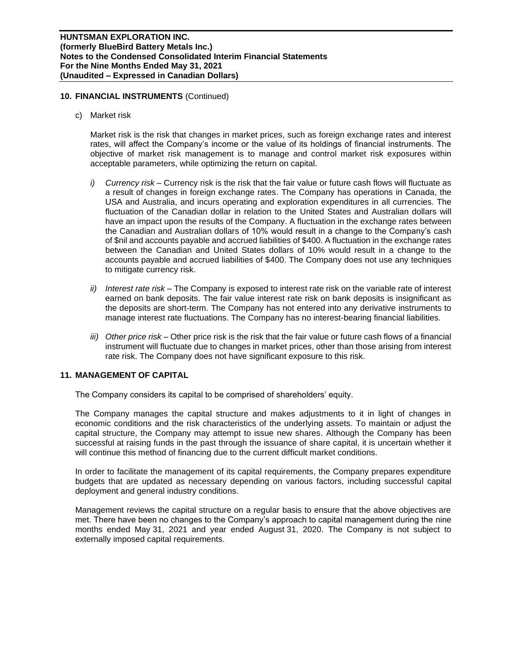## **10. FINANCIAL INSTRUMENTS** (Continued)

c) Market risk

Market risk is the risk that changes in market prices, such as foreign exchange rates and interest rates, will affect the Company's income or the value of its holdings of financial instruments. The objective of market risk management is to manage and control market risk exposures within acceptable parameters, while optimizing the return on capital.

- *i) Currency risk –* Currency risk is the risk that the fair value or future cash flows will fluctuate as a result of changes in foreign exchange rates. The Company has operations in Canada, the USA and Australia, and incurs operating and exploration expenditures in all currencies. The fluctuation of the Canadian dollar in relation to the United States and Australian dollars will have an impact upon the results of the Company. A fluctuation in the exchange rates between the Canadian and Australian dollars of 10% would result in a change to the Company's cash of \$nil and accounts payable and accrued liabilities of \$400. A fluctuation in the exchange rates between the Canadian and United States dollars of 10% would result in a change to the accounts payable and accrued liabilities of \$400. The Company does not use any techniques to mitigate currency risk.
- *ii) Interest rate risk –* The Company is exposed to interest rate risk on the variable rate of interest earned on bank deposits. The fair value interest rate risk on bank deposits is insignificant as the deposits are short-term. The Company has not entered into any derivative instruments to manage interest rate fluctuations. The Company has no interest-bearing financial liabilities.
- *iii) Other price risk –* Other price risk is the risk that the fair value or future cash flows of a financial instrument will fluctuate due to changes in market prices, other than those arising from interest rate risk. The Company does not have significant exposure to this risk.

# **11. MANAGEMENT OF CAPITAL**

The Company considers its capital to be comprised of shareholders' equity.

The Company manages the capital structure and makes adjustments to it in light of changes in economic conditions and the risk characteristics of the underlying assets. To maintain or adjust the capital structure, the Company may attempt to issue new shares. Although the Company has been successful at raising funds in the past through the issuance of share capital, it is uncertain whether it will continue this method of financing due to the current difficult market conditions.

In order to facilitate the management of its capital requirements, the Company prepares expenditure budgets that are updated as necessary depending on various factors, including successful capital deployment and general industry conditions.

Management reviews the capital structure on a regular basis to ensure that the above objectives are met. There have been no changes to the Company's approach to capital management during the nine months ended May 31, 2021 and year ended August 31, 2020. The Company is not subject to externally imposed capital requirements.